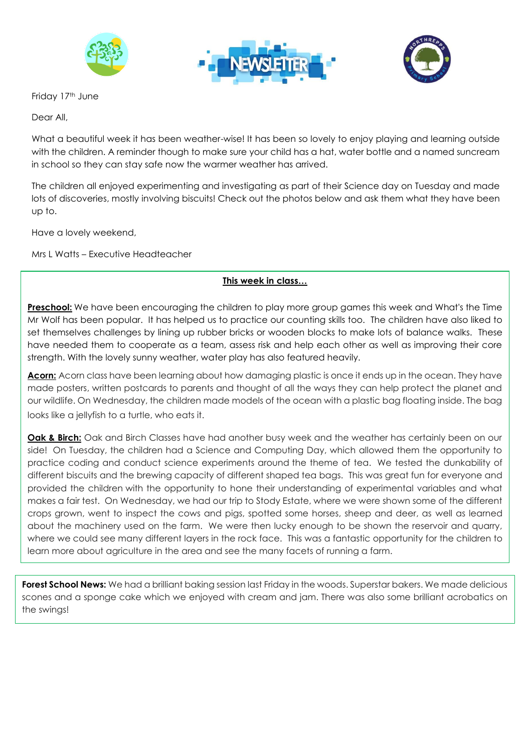





Friday 17<sup>th</sup> June

Dear All,

What a beautiful week it has been weather-wise! It has been so lovely to enjoy playing and learning outside with the children. A reminder though to make sure your child has a hat, water bottle and a named suncream in school so they can stay safe now the warmer weather has arrived.

The children all enjoyed experimenting and investigating as part of their Science day on Tuesday and made lots of discoveries, mostly involving biscuits! Check out the photos below and ask them what they have been up to.

Have a lovely weekend,

Mrs L Watts – Executive Headteacher

## **This week in class…**

**Preschool:** We have been encouraging the children to play more group games this week and What's the Time Mr Wolf has been popular. It has helped us to practice our counting skills too. The children have also liked to set themselves challenges by lining up rubber bricks or wooden blocks to make lots of balance walks. These have needed them to cooperate as a team, assess risk and help each other as well as improving their core strength. With the lovely sunny weather, water play has also featured heavily.

**Acorn:** Acorn class have been learning about how damaging plastic is once it ends up in the ocean. They have made posters, written postcards to parents and thought of all the ways they can help protect the planet and our wildlife. On Wednesday, the children made models of the ocean with a plastic bag floating inside. The bag looks like a jellyfish to a turtle, who eats it.

**Oak & Birch:** Oak and Birch Classes have had another busy week and the weather has certainly been on our side! On Tuesday, the children had a Science and Computing Day, which allowed them the opportunity to practice coding and conduct science experiments around the theme of tea. We tested the dunkability of different biscuits and the brewing capacity of different shaped tea bags. This was great fun for everyone and provided the children with the opportunity to hone their understanding of experimental variables and what makes a fair test. On Wednesday, we had our trip to Stody Estate, where we were shown some of the different crops grown, went to inspect the cows and pigs, spotted some horses, sheep and deer, as well as learned about the machinery used on the farm. We were then lucky enough to be shown the reservoir and quarry, where we could see many different layers in the rock face. This was a fantastic opportunity for the children to learn more about agriculture in the area and see the many facets of running a farm.

**Forest School News:** We had a brilliant baking session last Friday in the woods. Superstar bakers. We made delicious scones and a sponge cake which we enjoyed with cream and jam. There was also some brilliant acrobatics on the swings!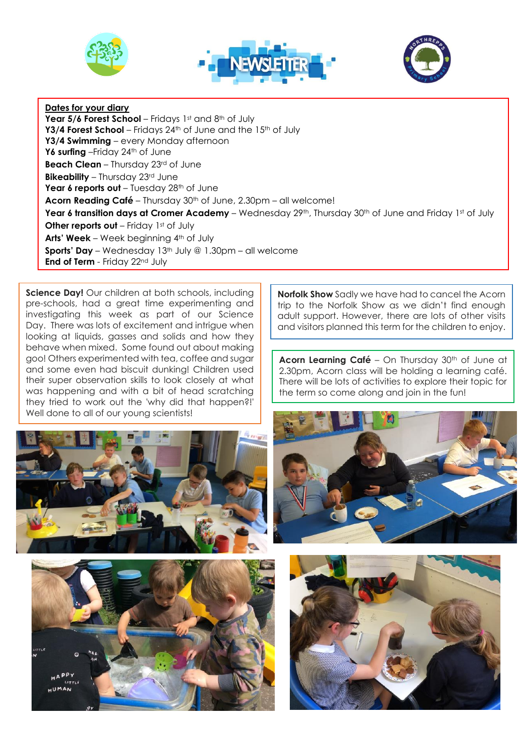





## **Dates for your diary**

**Year 5/6 Forest School** – Fridays 1st and 8th of July **Y3/4 Forest School** – Fridays 24<sup>th</sup> of June and the 15<sup>th</sup> of July **Y3/4 Swimming** – every Monday afternoon Y6 **surfing** –Friday 24<sup>th</sup> of June **Beach Clean** – Thursday 23rd of June **Bikeability** – Thursday 23rd June **Year 6 reports out** – Tuesday 28th of June **Acorn Reading Café** – Thursday 30th of June, 2.30pm – all welcome! **Year 6 transition days at Cromer Academy** – Wednesday 29th, Thursday 30th of June and Friday 1st of July **Other reports out** – Friday 1st of July **Arts' Week** – Week beginning 4th of July **Sports' Day** – Wednesday 13<sup>th</sup> July @ 1.30pm – all welcome **End of Term** - Friday 22nd July

**Science Day!** Our children at both schools, including pre-schools, had a great time experimenting and investigating this week as part of our Science Day. There was lots of excitement and intrigue when looking at liquids, gasses and solids and how they behave when mixed. Some found out about making goo! Others experimented with tea, coffee and sugar and some even had biscuit dunking! Children used their super observation skills to look closely at what was happening and with a bit of head scratching they tried to work out the 'why did that happen?!' Well done to all of our young scientists!

**Norfolk Show** Sadly we have had to cancel the Acorn trip to the Norfolk Show as we didn't find enough adult support. However, there are lots of other visits and visitors planned this term for the children to enjoy.

Acorn Learning Café - On Thursday 30<sup>th</sup> of June at 2.30pm, Acorn class will be holding a learning café. There will be lots of activities to explore their topic for the term so come along and join in the fun!







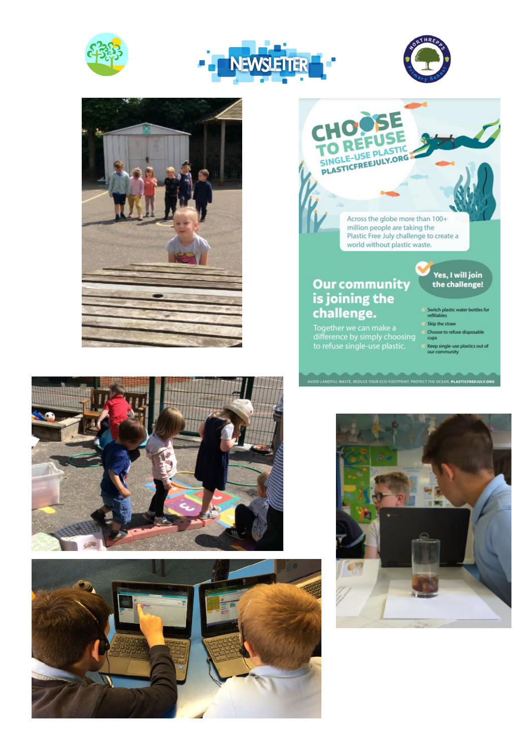







## Across the globe more than 100+<br>million people are taking the Plastic Free July challenge to create a<br>world without plastic waste.

**D LANDFILL WASTE, REDUCE YOUR ECO-FOOTPRINT, PROTECT THE OCEAN. PLASTICFREEJULY.O** 

DSE

SINGLE-USE PLASTIC PLASTICFREEJULY.ORG

## Our community<br>is joining the challenge.

Together we can make a<br>difference by simply choosing<br>to refuse single-use plastic.

Yes, I will join<br>the challenge!

- Switch plastic water bottles for<br>refillables
- Skip the straw
- Choose to refuse disposable<br>cups
- Keep single-use plastics out of<br>our community